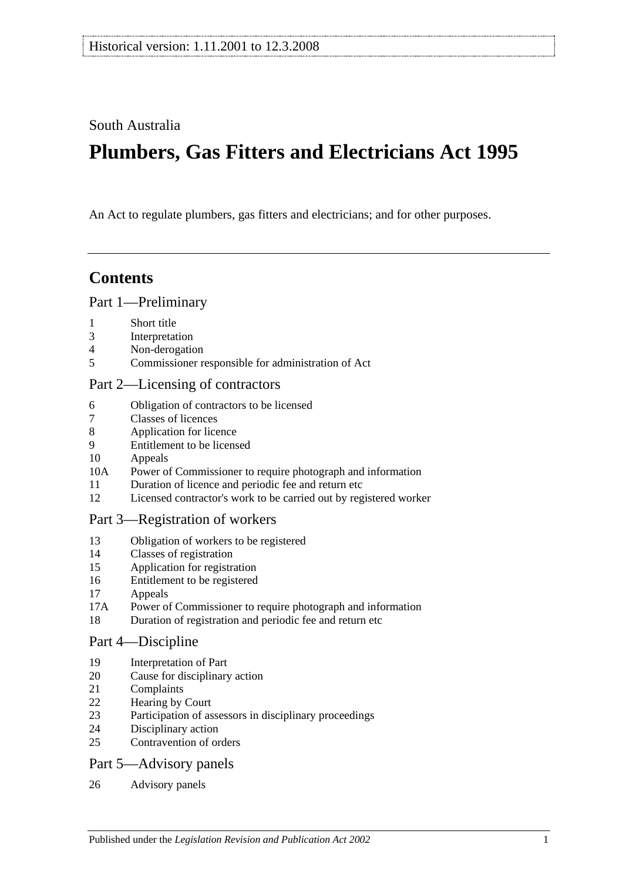South Australia

# **Plumbers, Gas Fitters and Electricians Act 1995**

An Act to regulate plumbers, gas fitters and electricians; and for other purposes.

# **Contents**

### [Part 1—Preliminary](#page-1-0)

- [Short title](#page-1-1)
- [Interpretation](#page-1-2)
- [Non-derogation](#page-3-0)
- [Commissioner responsible for administration of Act](#page-3-1)

### [Part 2—Licensing of contractors](#page-3-2)

- [Obligation of contractors to be licensed](#page-3-3)<br>7 Classes of licences
- [Classes of licences](#page-4-0)
- [Application for licence](#page-4-1)
- [Entitlement to be licensed](#page-5-0)
- [Appeals](#page-6-0)
- 10A [Power of Commissioner to require photograph and information](#page-7-0)
- [Duration of licence and periodic fee and return etc](#page-7-1)
- [Licensed contractor's work to be carried out by registered worker](#page-7-2)

### [Part 3—Registration of workers](#page-8-0)

- [Obligation of workers to be registered](#page-8-1)
- [Classes of registration](#page-8-2)
- [Application for registration](#page-9-0)
- [Entitlement to be registered](#page-9-1)
- [Appeals](#page-9-2)
- 17A [Power of Commissioner to require photograph and information](#page-10-0)
- [Duration of registration and periodic fee and return etc](#page-10-1)

### [Part 4—Discipline](#page-11-0)

- [Interpretation of Part](#page-11-1)
- [Cause for disciplinary action](#page-11-2)
- [Complaints](#page-12-0)
- [Hearing by Court](#page-12-1)
- [Participation of assessors in disciplinary proceedings](#page-12-2)
- [Disciplinary action](#page-12-3)
- [Contravention of orders](#page-13-0)

### [Part 5—Advisory panels](#page-13-1)

[Advisory panels](#page-13-2)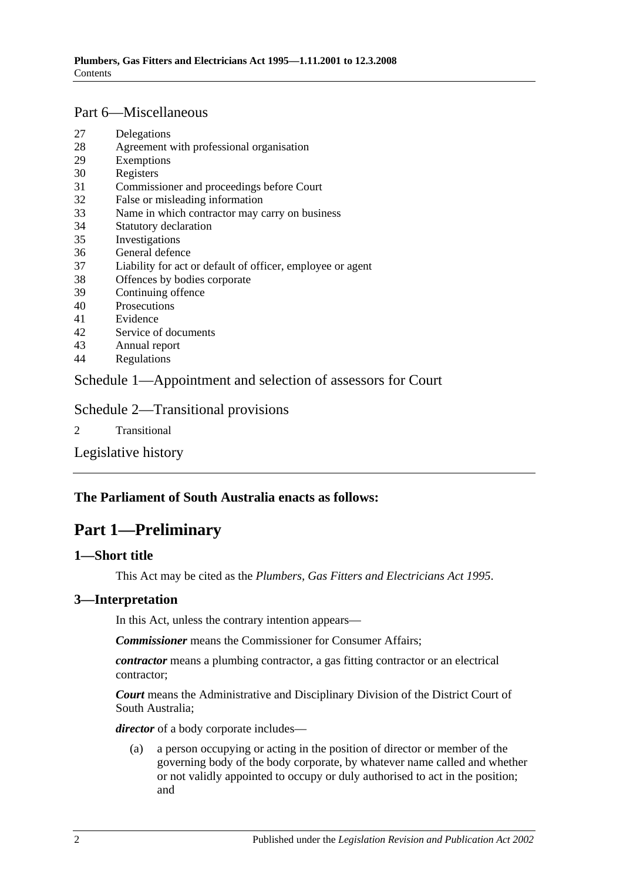# [Part 6—Miscellaneous](#page-14-0)

- 27 [Delegations](#page-14-1)
- 28 [Agreement with professional organisation](#page-14-2)
- 29 [Exemptions](#page-15-0)
- 30 [Registers](#page-15-1)
- 31 [Commissioner and proceedings before Court](#page-15-2)
- 32 [False or misleading information](#page-16-0)
- 33 [Name in which contractor may carry on business](#page-16-1)
- 34 [Statutory declaration](#page-16-2)
- 35 [Investigations](#page-16-3)
- 36 [General defence](#page-16-4)
- 37 [Liability for act or default of officer, employee or agent](#page-16-5)
- 38 [Offences by bodies corporate](#page-17-0)
- 39 [Continuing offence](#page-17-1)
- 40 [Prosecutions](#page-17-2)
- 41 [Evidence](#page-17-3)
- 42 [Service of documents](#page-18-0)
- 43 [Annual report](#page-18-1)
- 44 [Regulations](#page-18-2)

### [Schedule 1—Appointment and selection of assessors for Court](#page-19-0)

### [Schedule 2—Transitional provisions](#page-19-1)

2 [Transitional](#page-19-2)

[Legislative history](#page-21-0)

# <span id="page-1-0"></span>**The Parliament of South Australia enacts as follows:**

# **Part 1—Preliminary**

### <span id="page-1-1"></span>**1—Short title**

This Act may be cited as the *Plumbers, Gas Fitters and Electricians Act 1995*.

### <span id="page-1-2"></span>**3—Interpretation**

In this Act, unless the contrary intention appears—

*Commissioner* means the Commissioner for Consumer Affairs;

*contractor* means a plumbing contractor, a gas fitting contractor or an electrical contractor;

*Court* means the Administrative and Disciplinary Division of the District Court of South Australia;

*director* of a body corporate includes—

(a) a person occupying or acting in the position of director or member of the governing body of the body corporate, by whatever name called and whether or not validly appointed to occupy or duly authorised to act in the position; and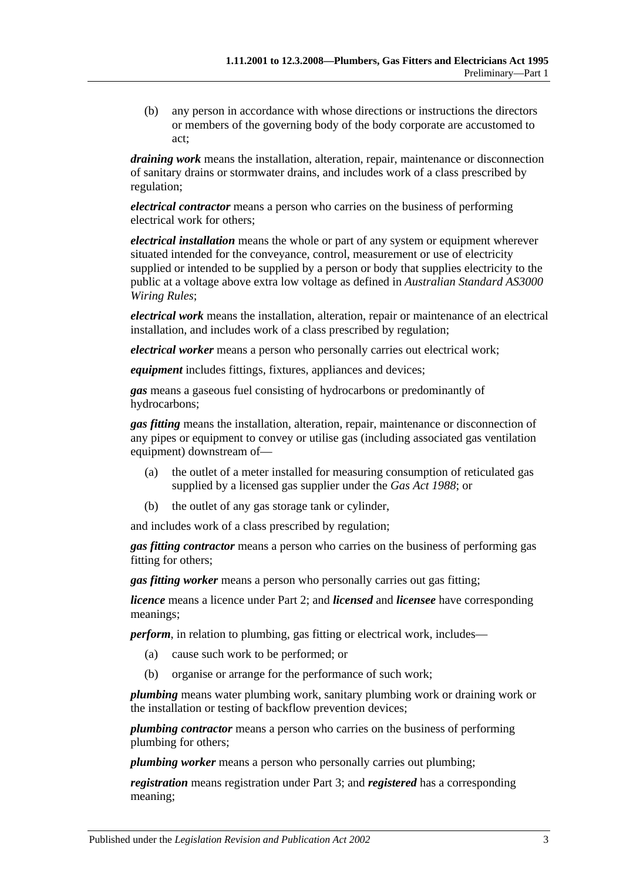(b) any person in accordance with whose directions or instructions the directors or members of the governing body of the body corporate are accustomed to act;

*draining work* means the installation, alteration, repair, maintenance or disconnection of sanitary drains or stormwater drains, and includes work of a class prescribed by regulation;

*electrical contractor* means a person who carries on the business of performing electrical work for others;

*electrical installation* means the whole or part of any system or equipment wherever situated intended for the conveyance, control, measurement or use of electricity supplied or intended to be supplied by a person or body that supplies electricity to the public at a voltage above extra low voltage as defined in *Australian Standard AS3000 Wiring Rules*;

*electrical work* means the installation, alteration, repair or maintenance of an electrical installation, and includes work of a class prescribed by regulation;

*electrical worker* means a person who personally carries out electrical work;

*equipment* includes fittings, fixtures, appliances and devices;

*gas* means a gaseous fuel consisting of hydrocarbons or predominantly of hydrocarbons;

*gas fitting* means the installation, alteration, repair, maintenance or disconnection of any pipes or equipment to convey or utilise gas (including associated gas ventilation equipment) downstream of—

- (a) the outlet of a meter installed for measuring consumption of reticulated gas supplied by a licensed gas supplier under the *[Gas Act](http://www.legislation.sa.gov.au/index.aspx?action=legref&type=act&legtitle=Gas%20Act%201988) 1988*; or
- (b) the outlet of any gas storage tank or cylinder,

and includes work of a class prescribed by regulation;

*gas fitting contractor* means a person who carries on the business of performing gas fitting for others;

*gas fitting worker* means a person who personally carries out gas fitting;

*licence* means a licence under [Part 2;](#page-3-2) and *licensed* and *licensee* have corresponding meanings;

*perform*, in relation to plumbing, gas fitting or electrical work, includes—

- (a) cause such work to be performed; or
- (b) organise or arrange for the performance of such work;

*plumbing* means water plumbing work, sanitary plumbing work or draining work or the installation or testing of backflow prevention devices;

*plumbing contractor* means a person who carries on the business of performing plumbing for others;

*plumbing worker* means a person who personally carries out plumbing;

*registration* means registration under [Part 3;](#page-8-0) and *registered* has a corresponding meaning;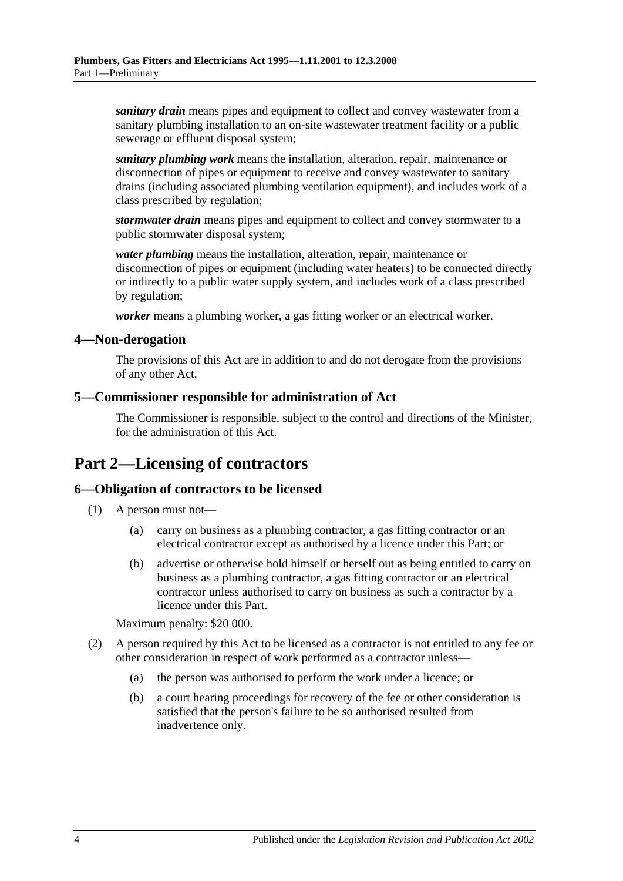*sanitary drain* means pipes and equipment to collect and convey wastewater from a sanitary plumbing installation to an on-site wastewater treatment facility or a public sewerage or effluent disposal system;

*sanitary plumbing work* means the installation, alteration, repair, maintenance or disconnection of pipes or equipment to receive and convey wastewater to sanitary drains (including associated plumbing ventilation equipment), and includes work of a class prescribed by regulation;

*stormwater drain* means pipes and equipment to collect and convey stormwater to a public stormwater disposal system;

*water plumbing* means the installation, alteration, repair, maintenance or disconnection of pipes or equipment (including water heaters) to be connected directly or indirectly to a public water supply system, and includes work of a class prescribed by regulation;

*worker* means a plumbing worker, a gas fitting worker or an electrical worker.

### <span id="page-3-0"></span>**4—Non-derogation**

The provisions of this Act are in addition to and do not derogate from the provisions of any other Act.

### <span id="page-3-1"></span>**5—Commissioner responsible for administration of Act**

The Commissioner is responsible, subject to the control and directions of the Minister, for the administration of this Act.

# <span id="page-3-2"></span>**Part 2—Licensing of contractors**

### <span id="page-3-3"></span>**6—Obligation of contractors to be licensed**

- (1) A person must not—
	- (a) carry on business as a plumbing contractor, a gas fitting contractor or an electrical contractor except as authorised by a licence under this Part; or
	- (b) advertise or otherwise hold himself or herself out as being entitled to carry on business as a plumbing contractor, a gas fitting contractor or an electrical contractor unless authorised to carry on business as such a contractor by a licence under this Part.

Maximum penalty: \$20 000.

- (2) A person required by this Act to be licensed as a contractor is not entitled to any fee or other consideration in respect of work performed as a contractor unless—
	- (a) the person was authorised to perform the work under a licence; or
	- (b) a court hearing proceedings for recovery of the fee or other consideration is satisfied that the person's failure to be so authorised resulted from inadvertence only.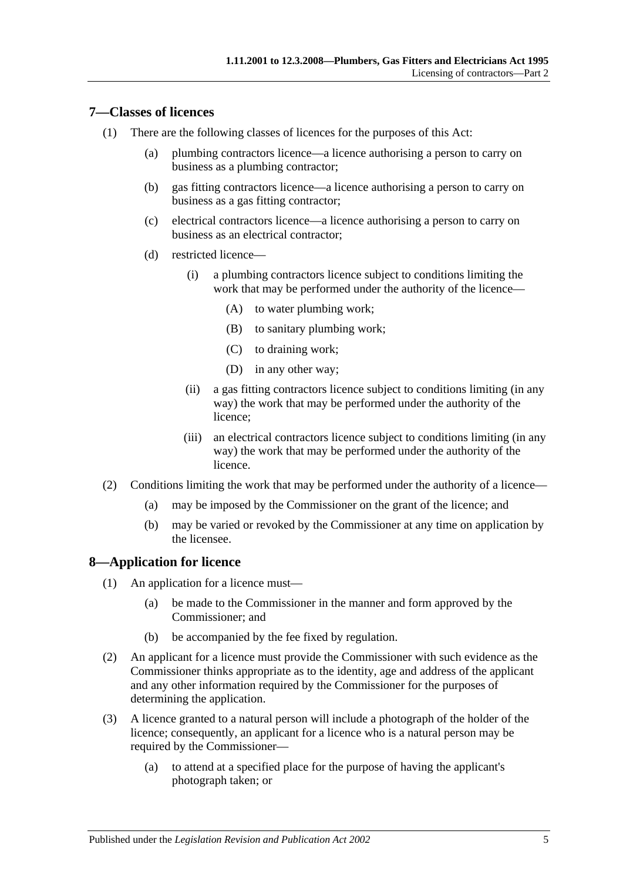### <span id="page-4-0"></span>**7—Classes of licences**

- (1) There are the following classes of licences for the purposes of this Act:
	- (a) plumbing contractors licence—a licence authorising a person to carry on business as a plumbing contractor;
	- (b) gas fitting contractors licence—a licence authorising a person to carry on business as a gas fitting contractor;
	- (c) electrical contractors licence—a licence authorising a person to carry on business as an electrical contractor;
	- (d) restricted licence—
		- (i) a plumbing contractors licence subject to conditions limiting the work that may be performed under the authority of the licence—
			- (A) to water plumbing work;
			- (B) to sanitary plumbing work;
			- (C) to draining work;
			- (D) in any other way;
		- (ii) a gas fitting contractors licence subject to conditions limiting (in any way) the work that may be performed under the authority of the licence;
		- (iii) an electrical contractors licence subject to conditions limiting (in any way) the work that may be performed under the authority of the licence.
- (2) Conditions limiting the work that may be performed under the authority of a licence—
	- (a) may be imposed by the Commissioner on the grant of the licence; and
	- (b) may be varied or revoked by the Commissioner at any time on application by the licensee.

### <span id="page-4-1"></span>**8—Application for licence**

- (1) An application for a licence must—
	- (a) be made to the Commissioner in the manner and form approved by the Commissioner; and
	- (b) be accompanied by the fee fixed by regulation.
- (2) An applicant for a licence must provide the Commissioner with such evidence as the Commissioner thinks appropriate as to the identity, age and address of the applicant and any other information required by the Commissioner for the purposes of determining the application.
- (3) A licence granted to a natural person will include a photograph of the holder of the licence; consequently, an applicant for a licence who is a natural person may be required by the Commissioner—
	- (a) to attend at a specified place for the purpose of having the applicant's photograph taken; or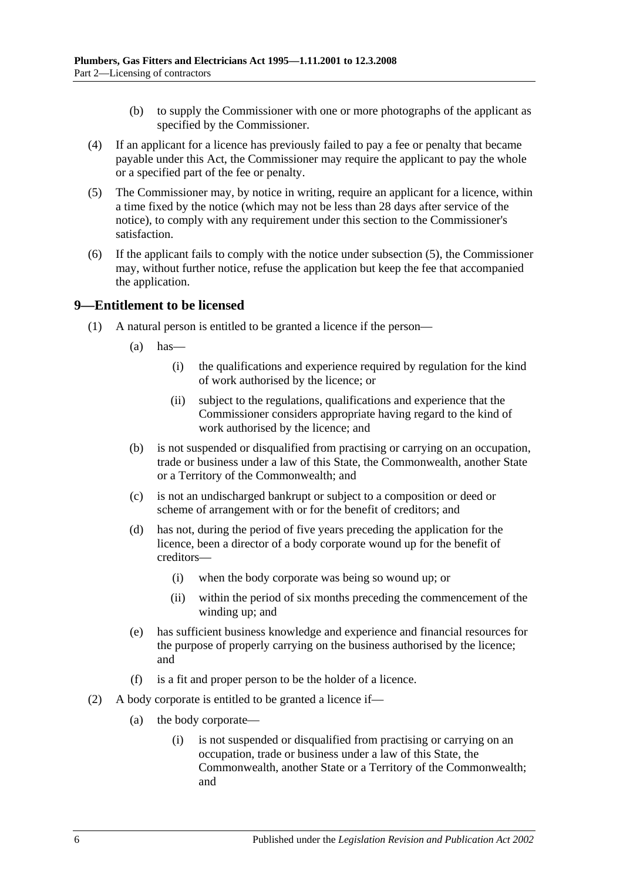- (b) to supply the Commissioner with one or more photographs of the applicant as specified by the Commissioner.
- (4) If an applicant for a licence has previously failed to pay a fee or penalty that became payable under this Act, the Commissioner may require the applicant to pay the whole or a specified part of the fee or penalty.
- <span id="page-5-1"></span>(5) The Commissioner may, by notice in writing, require an applicant for a licence, within a time fixed by the notice (which may not be less than 28 days after service of the notice), to comply with any requirement under this section to the Commissioner's satisfaction.
- (6) If the applicant fails to comply with the notice under [subsection](#page-5-1) (5), the Commissioner may, without further notice, refuse the application but keep the fee that accompanied the application.

### <span id="page-5-0"></span>**9—Entitlement to be licensed**

- (1) A natural person is entitled to be granted a licence if the person—
	- $(a)$  has
		- (i) the qualifications and experience required by regulation for the kind of work authorised by the licence; or
		- (ii) subject to the regulations, qualifications and experience that the Commissioner considers appropriate having regard to the kind of work authorised by the licence; and
	- (b) is not suspended or disqualified from practising or carrying on an occupation, trade or business under a law of this State, the Commonwealth, another State or a Territory of the Commonwealth; and
	- (c) is not an undischarged bankrupt or subject to a composition or deed or scheme of arrangement with or for the benefit of creditors; and
	- (d) has not, during the period of five years preceding the application for the licence, been a director of a body corporate wound up for the benefit of creditors—
		- (i) when the body corporate was being so wound up; or
		- (ii) within the period of six months preceding the commencement of the winding up; and
	- (e) has sufficient business knowledge and experience and financial resources for the purpose of properly carrying on the business authorised by the licence; and
	- (f) is a fit and proper person to be the holder of a licence.
- (2) A body corporate is entitled to be granted a licence if—
	- (a) the body corporate—
		- (i) is not suspended or disqualified from practising or carrying on an occupation, trade or business under a law of this State, the Commonwealth, another State or a Territory of the Commonwealth; and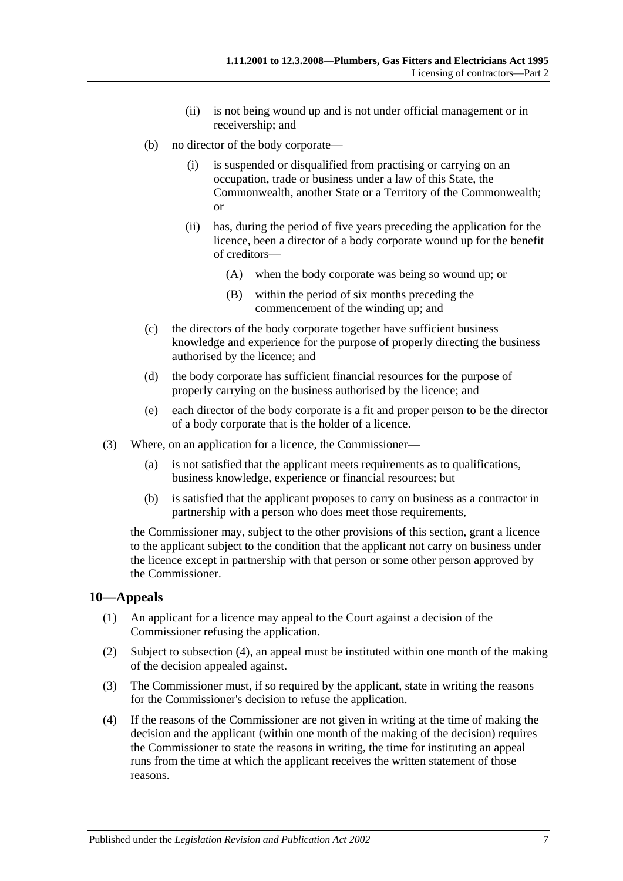- (ii) is not being wound up and is not under official management or in receivership; and
- (b) no director of the body corporate—
	- (i) is suspended or disqualified from practising or carrying on an occupation, trade or business under a law of this State, the Commonwealth, another State or a Territory of the Commonwealth; or
	- (ii) has, during the period of five years preceding the application for the licence, been a director of a body corporate wound up for the benefit of creditors—
		- (A) when the body corporate was being so wound up; or
		- (B) within the period of six months preceding the commencement of the winding up; and
- (c) the directors of the body corporate together have sufficient business knowledge and experience for the purpose of properly directing the business authorised by the licence; and
- (d) the body corporate has sufficient financial resources for the purpose of properly carrying on the business authorised by the licence; and
- (e) each director of the body corporate is a fit and proper person to be the director of a body corporate that is the holder of a licence.
- (3) Where, on an application for a licence, the Commissioner—
	- (a) is not satisfied that the applicant meets requirements as to qualifications, business knowledge, experience or financial resources; but
	- (b) is satisfied that the applicant proposes to carry on business as a contractor in partnership with a person who does meet those requirements,

the Commissioner may, subject to the other provisions of this section, grant a licence to the applicant subject to the condition that the applicant not carry on business under the licence except in partnership with that person or some other person approved by the Commissioner.

#### <span id="page-6-0"></span>**10—Appeals**

- (1) An applicant for a licence may appeal to the Court against a decision of the Commissioner refusing the application.
- (2) Subject to [subsection](#page-6-1) (4), an appeal must be instituted within one month of the making of the decision appealed against.
- (3) The Commissioner must, if so required by the applicant, state in writing the reasons for the Commissioner's decision to refuse the application.
- <span id="page-6-1"></span>(4) If the reasons of the Commissioner are not given in writing at the time of making the decision and the applicant (within one month of the making of the decision) requires the Commissioner to state the reasons in writing, the time for instituting an appeal runs from the time at which the applicant receives the written statement of those reasons.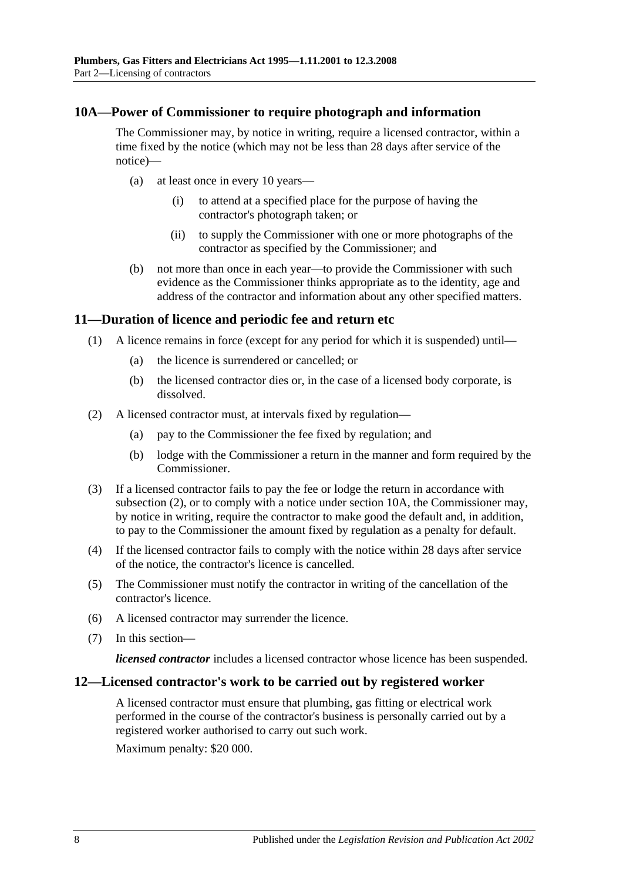### <span id="page-7-0"></span>**10A—Power of Commissioner to require photograph and information**

The Commissioner may, by notice in writing, require a licensed contractor, within a time fixed by the notice (which may not be less than 28 days after service of the notice)—

- (a) at least once in every 10 years—
	- (i) to attend at a specified place for the purpose of having the contractor's photograph taken; or
	- (ii) to supply the Commissioner with one or more photographs of the contractor as specified by the Commissioner; and
- (b) not more than once in each year—to provide the Commissioner with such evidence as the Commissioner thinks appropriate as to the identity, age and address of the contractor and information about any other specified matters.

### <span id="page-7-1"></span>**11—Duration of licence and periodic fee and return etc**

- (1) A licence remains in force (except for any period for which it is suspended) until—
	- (a) the licence is surrendered or cancelled; or
	- (b) the licensed contractor dies or, in the case of a licensed body corporate, is dissolved.
- <span id="page-7-3"></span>(2) A licensed contractor must, at intervals fixed by regulation—
	- (a) pay to the Commissioner the fee fixed by regulation; and
	- (b) lodge with the Commissioner a return in the manner and form required by the Commissioner.
- (3) If a licensed contractor fails to pay the fee or lodge the return in accordance with [subsection](#page-7-3) (2), or to comply with a notice under [section](#page-7-0) 10A, the Commissioner may, by notice in writing, require the contractor to make good the default and, in addition, to pay to the Commissioner the amount fixed by regulation as a penalty for default.
- (4) If the licensed contractor fails to comply with the notice within 28 days after service of the notice, the contractor's licence is cancelled.
- (5) The Commissioner must notify the contractor in writing of the cancellation of the contractor's licence.
- (6) A licensed contractor may surrender the licence.
- (7) In this section—

*licensed contractor* includes a licensed contractor whose licence has been suspended.

#### <span id="page-7-2"></span>**12—Licensed contractor's work to be carried out by registered worker**

A licensed contractor must ensure that plumbing, gas fitting or electrical work performed in the course of the contractor's business is personally carried out by a registered worker authorised to carry out such work.

Maximum penalty: \$20 000.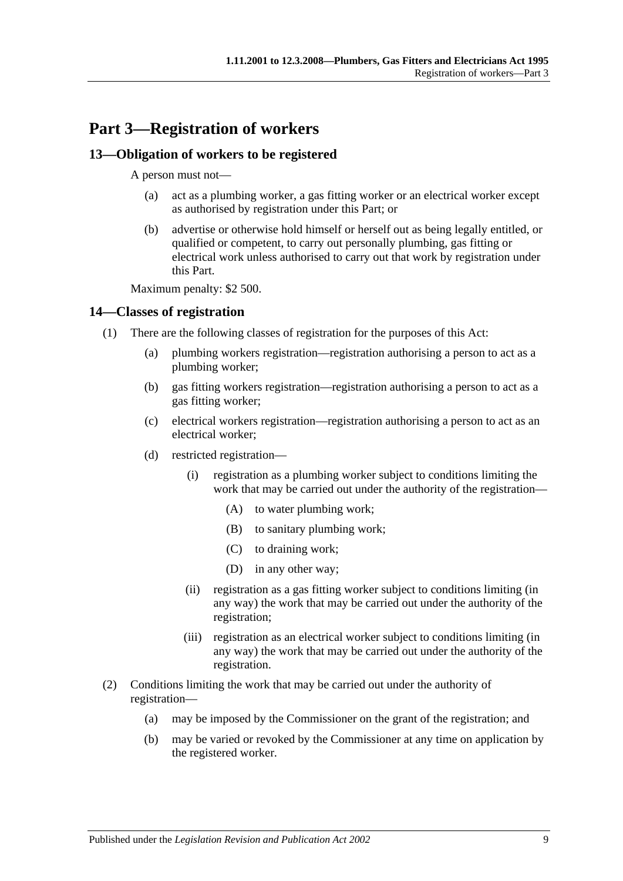# <span id="page-8-0"></span>**Part 3—Registration of workers**

# <span id="page-8-1"></span>**13—Obligation of workers to be registered**

A person must not—

- (a) act as a plumbing worker, a gas fitting worker or an electrical worker except as authorised by registration under this Part; or
- (b) advertise or otherwise hold himself or herself out as being legally entitled, or qualified or competent, to carry out personally plumbing, gas fitting or electrical work unless authorised to carry out that work by registration under this Part.

Maximum penalty: \$2 500.

### <span id="page-8-2"></span>**14—Classes of registration**

- (1) There are the following classes of registration for the purposes of this Act:
	- (a) plumbing workers registration—registration authorising a person to act as a plumbing worker;
	- (b) gas fitting workers registration—registration authorising a person to act as a gas fitting worker;
	- (c) electrical workers registration—registration authorising a person to act as an electrical worker;
	- (d) restricted registration—
		- (i) registration as a plumbing worker subject to conditions limiting the work that may be carried out under the authority of the registration—
			- (A) to water plumbing work;
			- (B) to sanitary plumbing work;
			- (C) to draining work;
			- (D) in any other way;
		- (ii) registration as a gas fitting worker subject to conditions limiting (in any way) the work that may be carried out under the authority of the registration;
		- (iii) registration as an electrical worker subject to conditions limiting (in any way) the work that may be carried out under the authority of the registration.
- (2) Conditions limiting the work that may be carried out under the authority of registration—
	- (a) may be imposed by the Commissioner on the grant of the registration; and
	- (b) may be varied or revoked by the Commissioner at any time on application by the registered worker.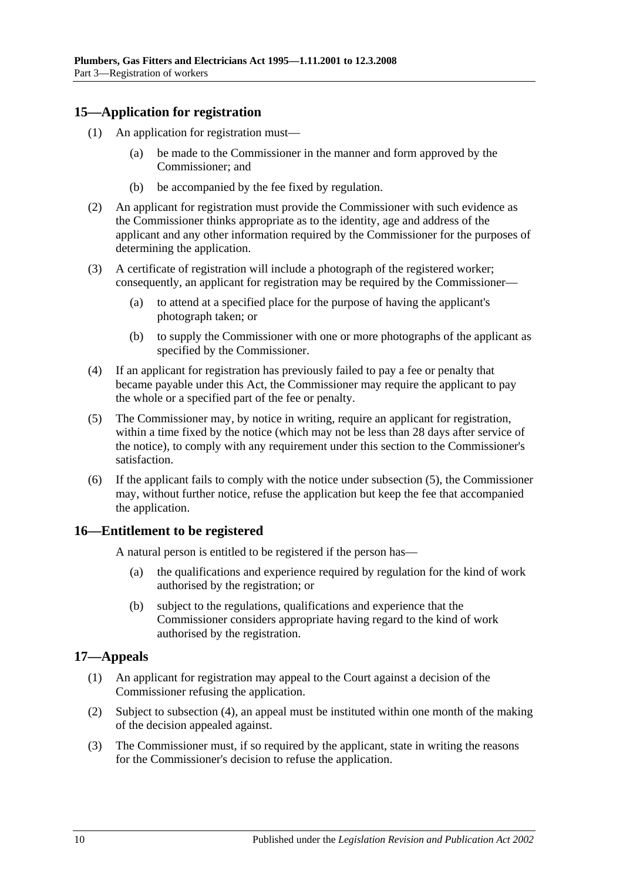# <span id="page-9-0"></span>**15—Application for registration**

- (1) An application for registration must—
	- (a) be made to the Commissioner in the manner and form approved by the Commissioner; and
	- (b) be accompanied by the fee fixed by regulation.
- (2) An applicant for registration must provide the Commissioner with such evidence as the Commissioner thinks appropriate as to the identity, age and address of the applicant and any other information required by the Commissioner for the purposes of determining the application.
- (3) A certificate of registration will include a photograph of the registered worker; consequently, an applicant for registration may be required by the Commissioner—
	- (a) to attend at a specified place for the purpose of having the applicant's photograph taken; or
	- (b) to supply the Commissioner with one or more photographs of the applicant as specified by the Commissioner.
- (4) If an applicant for registration has previously failed to pay a fee or penalty that became payable under this Act, the Commissioner may require the applicant to pay the whole or a specified part of the fee or penalty.
- <span id="page-9-3"></span>(5) The Commissioner may, by notice in writing, require an applicant for registration, within a time fixed by the notice (which may not be less than 28 days after service of the notice), to comply with any requirement under this section to the Commissioner's satisfaction.
- (6) If the applicant fails to comply with the notice under [subsection](#page-9-3) (5), the Commissioner may, without further notice, refuse the application but keep the fee that accompanied the application.

#### <span id="page-9-1"></span>**16—Entitlement to be registered**

A natural person is entitled to be registered if the person has—

- (a) the qualifications and experience required by regulation for the kind of work authorised by the registration; or
- (b) subject to the regulations, qualifications and experience that the Commissioner considers appropriate having regard to the kind of work authorised by the registration.

### <span id="page-9-2"></span>**17—Appeals**

- (1) An applicant for registration may appeal to the Court against a decision of the Commissioner refusing the application.
- (2) Subject to [subsection](#page-10-2) (4), an appeal must be instituted within one month of the making of the decision appealed against.
- (3) The Commissioner must, if so required by the applicant, state in writing the reasons for the Commissioner's decision to refuse the application.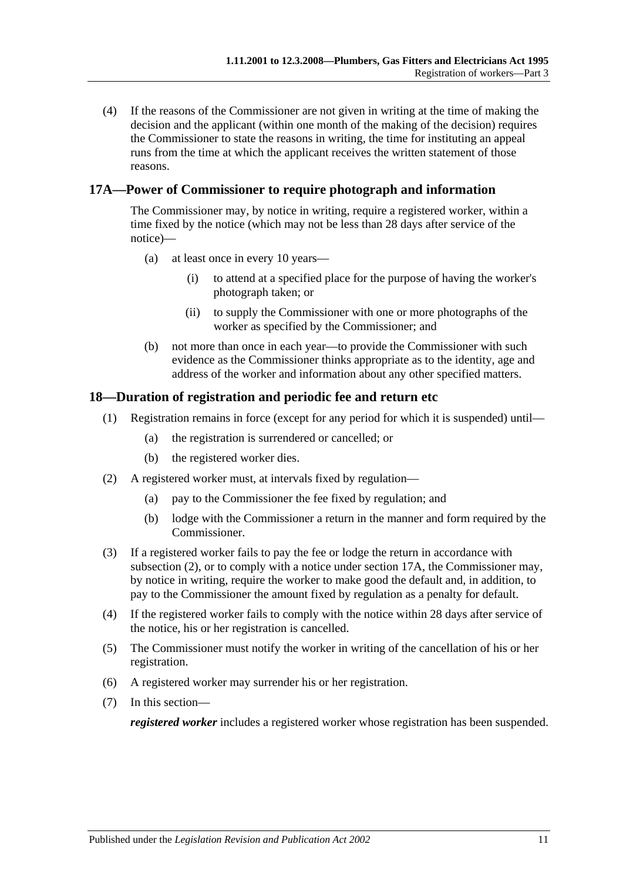<span id="page-10-2"></span>(4) If the reasons of the Commissioner are not given in writing at the time of making the decision and the applicant (within one month of the making of the decision) requires the Commissioner to state the reasons in writing, the time for instituting an appeal runs from the time at which the applicant receives the written statement of those reasons.

### <span id="page-10-0"></span>**17A—Power of Commissioner to require photograph and information**

The Commissioner may, by notice in writing, require a registered worker, within a time fixed by the notice (which may not be less than 28 days after service of the notice)—

- (a) at least once in every 10 years—
	- (i) to attend at a specified place for the purpose of having the worker's photograph taken; or
	- (ii) to supply the Commissioner with one or more photographs of the worker as specified by the Commissioner; and
- (b) not more than once in each year—to provide the Commissioner with such evidence as the Commissioner thinks appropriate as to the identity, age and address of the worker and information about any other specified matters.

### <span id="page-10-1"></span>**18—Duration of registration and periodic fee and return etc**

- (1) Registration remains in force (except for any period for which it is suspended) until—
	- (a) the registration is surrendered or cancelled; or
	- (b) the registered worker dies.
- <span id="page-10-3"></span>(2) A registered worker must, at intervals fixed by regulation—
	- (a) pay to the Commissioner the fee fixed by regulation; and
	- (b) lodge with the Commissioner a return in the manner and form required by the Commissioner.
- (3) If a registered worker fails to pay the fee or lodge the return in accordance with [subsection](#page-10-3) (2), or to comply with a notice under [section](#page-10-0) 17A, the Commissioner may, by notice in writing, require the worker to make good the default and, in addition, to pay to the Commissioner the amount fixed by regulation as a penalty for default.
- (4) If the registered worker fails to comply with the notice within 28 days after service of the notice, his or her registration is cancelled.
- (5) The Commissioner must notify the worker in writing of the cancellation of his or her registration.
- (6) A registered worker may surrender his or her registration.
- (7) In this section—

*registered worker* includes a registered worker whose registration has been suspended.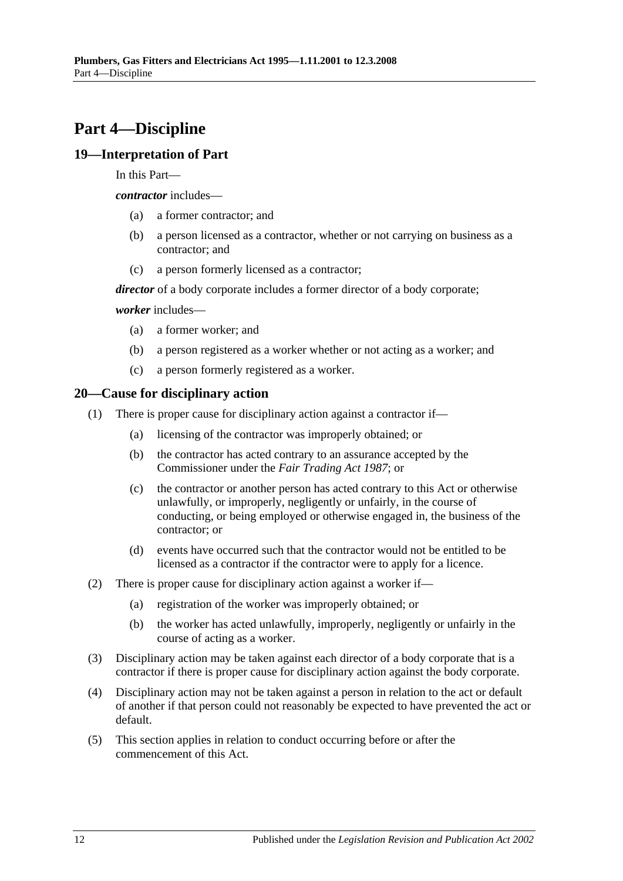# <span id="page-11-0"></span>**Part 4—Discipline**

### <span id="page-11-1"></span>**19—Interpretation of Part**

In this Part—

*contractor* includes—

- (a) a former contractor; and
- (b) a person licensed as a contractor, whether or not carrying on business as a contractor; and
- (c) a person formerly licensed as a contractor;

*director* of a body corporate includes a former director of a body corporate;

*worker* includes—

- (a) a former worker; and
- (b) a person registered as a worker whether or not acting as a worker; and
- (c) a person formerly registered as a worker.

# <span id="page-11-2"></span>**20—Cause for disciplinary action**

- (1) There is proper cause for disciplinary action against a contractor if—
	- (a) licensing of the contractor was improperly obtained; or
	- (b) the contractor has acted contrary to an assurance accepted by the Commissioner under the *[Fair Trading Act](http://www.legislation.sa.gov.au/index.aspx?action=legref&type=act&legtitle=Fair%20Trading%20Act%201987) 1987*; or
	- (c) the contractor or another person has acted contrary to this Act or otherwise unlawfully, or improperly, negligently or unfairly, in the course of conducting, or being employed or otherwise engaged in, the business of the contractor; or
	- (d) events have occurred such that the contractor would not be entitled to be licensed as a contractor if the contractor were to apply for a licence.
- (2) There is proper cause for disciplinary action against a worker if—
	- (a) registration of the worker was improperly obtained; or
	- (b) the worker has acted unlawfully, improperly, negligently or unfairly in the course of acting as a worker.
- (3) Disciplinary action may be taken against each director of a body corporate that is a contractor if there is proper cause for disciplinary action against the body corporate.
- (4) Disciplinary action may not be taken against a person in relation to the act or default of another if that person could not reasonably be expected to have prevented the act or default.
- (5) This section applies in relation to conduct occurring before or after the commencement of this Act.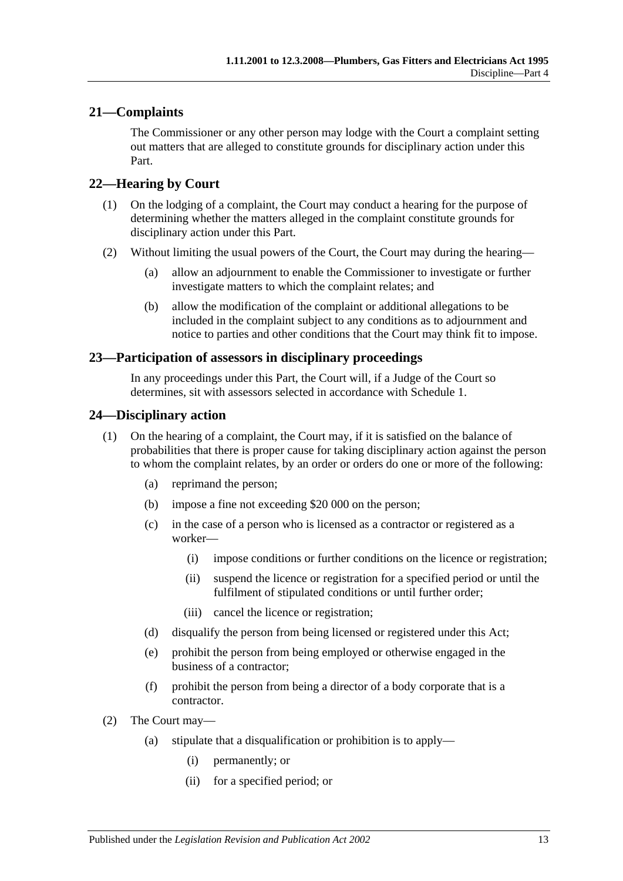# <span id="page-12-0"></span>**21—Complaints**

The Commissioner or any other person may lodge with the Court a complaint setting out matters that are alleged to constitute grounds for disciplinary action under this Part.

# <span id="page-12-1"></span>**22—Hearing by Court**

- (1) On the lodging of a complaint, the Court may conduct a hearing for the purpose of determining whether the matters alleged in the complaint constitute grounds for disciplinary action under this Part.
- (2) Without limiting the usual powers of the Court, the Court may during the hearing—
	- (a) allow an adjournment to enable the Commissioner to investigate or further investigate matters to which the complaint relates; and
	- (b) allow the modification of the complaint or additional allegations to be included in the complaint subject to any conditions as to adjournment and notice to parties and other conditions that the Court may think fit to impose.

### <span id="page-12-2"></span>**23—Participation of assessors in disciplinary proceedings**

In any proceedings under this Part, the Court will, if a Judge of the Court so determines, sit with assessors selected in accordance with [Schedule 1.](#page-19-0)

### <span id="page-12-3"></span>**24—Disciplinary action**

- (1) On the hearing of a complaint, the Court may, if it is satisfied on the balance of probabilities that there is proper cause for taking disciplinary action against the person to whom the complaint relates, by an order or orders do one or more of the following:
	- (a) reprimand the person;
	- (b) impose a fine not exceeding \$20 000 on the person;
	- (c) in the case of a person who is licensed as a contractor or registered as a worker—
		- (i) impose conditions or further conditions on the licence or registration;
		- (ii) suspend the licence or registration for a specified period or until the fulfilment of stipulated conditions or until further order;
		- (iii) cancel the licence or registration;
	- (d) disqualify the person from being licensed or registered under this Act;
	- (e) prohibit the person from being employed or otherwise engaged in the business of a contractor;
	- (f) prohibit the person from being a director of a body corporate that is a contractor.
- (2) The Court may—
	- (a) stipulate that a disqualification or prohibition is to apply—
		- (i) permanently; or
		- (ii) for a specified period; or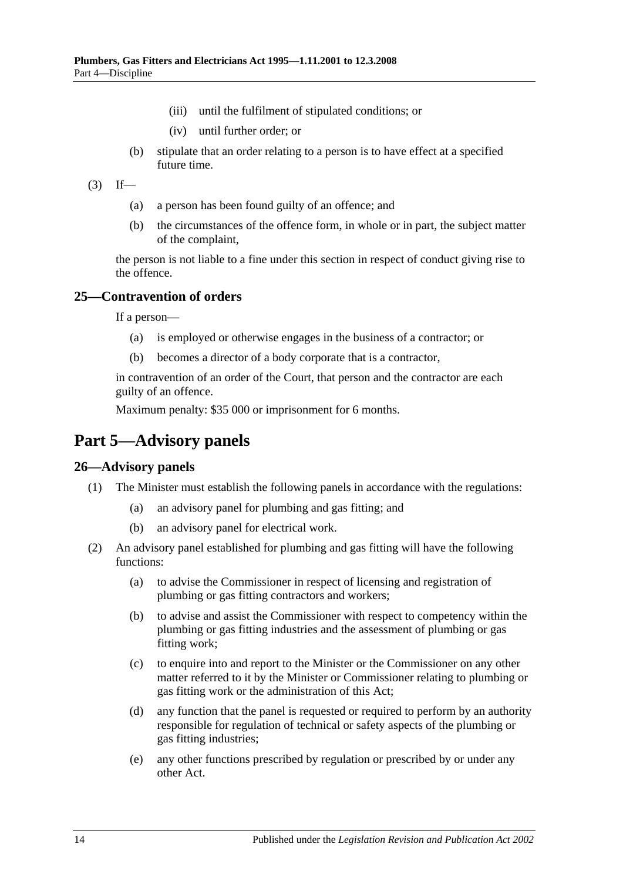- (iii) until the fulfilment of stipulated conditions; or
- (iv) until further order; or
- (b) stipulate that an order relating to a person is to have effect at a specified future time.
- $(3)$  If—
	- (a) a person has been found guilty of an offence; and
	- (b) the circumstances of the offence form, in whole or in part, the subject matter of the complaint,

the person is not liable to a fine under this section in respect of conduct giving rise to the offence.

### <span id="page-13-0"></span>**25—Contravention of orders**

If a person—

- (a) is employed or otherwise engages in the business of a contractor; or
- (b) becomes a director of a body corporate that is a contractor,

in contravention of an order of the Court, that person and the contractor are each guilty of an offence.

Maximum penalty: \$35 000 or imprisonment for 6 months.

# <span id="page-13-1"></span>**Part 5—Advisory panels**

#### <span id="page-13-2"></span>**26—Advisory panels**

- (1) The Minister must establish the following panels in accordance with the regulations:
	- (a) an advisory panel for plumbing and gas fitting; and
	- (b) an advisory panel for electrical work.
- (2) An advisory panel established for plumbing and gas fitting will have the following functions:
	- (a) to advise the Commissioner in respect of licensing and registration of plumbing or gas fitting contractors and workers;
	- (b) to advise and assist the Commissioner with respect to competency within the plumbing or gas fitting industries and the assessment of plumbing or gas fitting work;
	- (c) to enquire into and report to the Minister or the Commissioner on any other matter referred to it by the Minister or Commissioner relating to plumbing or gas fitting work or the administration of this Act;
	- (d) any function that the panel is requested or required to perform by an authority responsible for regulation of technical or safety aspects of the plumbing or gas fitting industries;
	- (e) any other functions prescribed by regulation or prescribed by or under any other Act.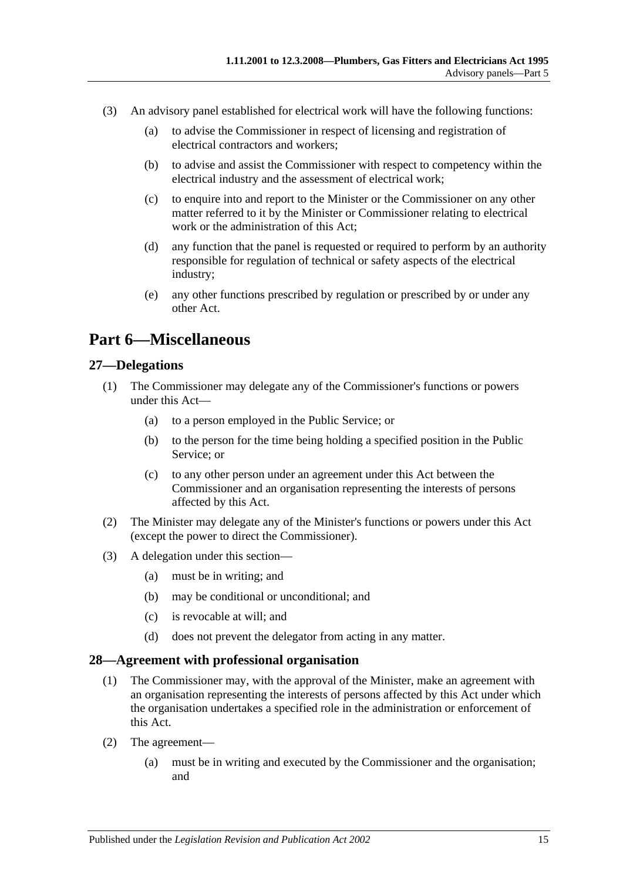- (3) An advisory panel established for electrical work will have the following functions:
	- (a) to advise the Commissioner in respect of licensing and registration of electrical contractors and workers;
	- (b) to advise and assist the Commissioner with respect to competency within the electrical industry and the assessment of electrical work;
	- (c) to enquire into and report to the Minister or the Commissioner on any other matter referred to it by the Minister or Commissioner relating to electrical work or the administration of this Act;
	- (d) any function that the panel is requested or required to perform by an authority responsible for regulation of technical or safety aspects of the electrical industry;
	- (e) any other functions prescribed by regulation or prescribed by or under any other Act.

# <span id="page-14-0"></span>**Part 6—Miscellaneous**

### <span id="page-14-1"></span>**27—Delegations**

- (1) The Commissioner may delegate any of the Commissioner's functions or powers under this Act—
	- (a) to a person employed in the Public Service; or
	- (b) to the person for the time being holding a specified position in the Public Service; or
	- (c) to any other person under an agreement under this Act between the Commissioner and an organisation representing the interests of persons affected by this Act.
- (2) The Minister may delegate any of the Minister's functions or powers under this Act (except the power to direct the Commissioner).
- (3) A delegation under this section—
	- (a) must be in writing; and
	- (b) may be conditional or unconditional; and
	- (c) is revocable at will; and
	- (d) does not prevent the delegator from acting in any matter.

#### <span id="page-14-2"></span>**28—Agreement with professional organisation**

- (1) The Commissioner may, with the approval of the Minister, make an agreement with an organisation representing the interests of persons affected by this Act under which the organisation undertakes a specified role in the administration or enforcement of this Act.
- (2) The agreement—
	- (a) must be in writing and executed by the Commissioner and the organisation; and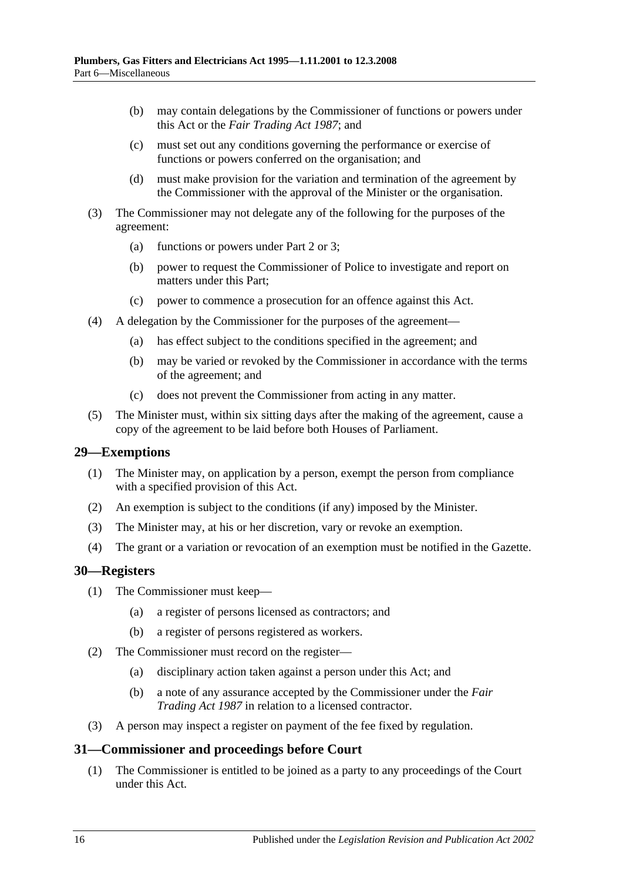- (b) may contain delegations by the Commissioner of functions or powers under this Act or the *[Fair Trading Act](http://www.legislation.sa.gov.au/index.aspx?action=legref&type=act&legtitle=Fair%20Trading%20Act%201987) 1987*; and
- (c) must set out any conditions governing the performance or exercise of functions or powers conferred on the organisation; and
- (d) must make provision for the variation and termination of the agreement by the Commissioner with the approval of the Minister or the organisation.
- (3) The Commissioner may not delegate any of the following for the purposes of the agreement:
	- (a) functions or powers under [Part 2](#page-3-2) or [3;](#page-8-0)
	- (b) power to request the Commissioner of Police to investigate and report on matters under this Part;
	- (c) power to commence a prosecution for an offence against this Act.
- (4) A delegation by the Commissioner for the purposes of the agreement—
	- (a) has effect subject to the conditions specified in the agreement; and
	- (b) may be varied or revoked by the Commissioner in accordance with the terms of the agreement; and
	- (c) does not prevent the Commissioner from acting in any matter.
- (5) The Minister must, within six sitting days after the making of the agreement, cause a copy of the agreement to be laid before both Houses of Parliament.

#### <span id="page-15-0"></span>**29—Exemptions**

- (1) The Minister may, on application by a person, exempt the person from compliance with a specified provision of this Act.
- (2) An exemption is subject to the conditions (if any) imposed by the Minister.
- (3) The Minister may, at his or her discretion, vary or revoke an exemption.
- (4) The grant or a variation or revocation of an exemption must be notified in the Gazette.

#### <span id="page-15-1"></span>**30—Registers**

- (1) The Commissioner must keep—
	- (a) a register of persons licensed as contractors; and
	- (b) a register of persons registered as workers.
- (2) The Commissioner must record on the register—
	- (a) disciplinary action taken against a person under this Act; and
	- (b) a note of any assurance accepted by the Commissioner under the *[Fair](http://www.legislation.sa.gov.au/index.aspx?action=legref&type=act&legtitle=Fair%20Trading%20Act%201987)  [Trading Act](http://www.legislation.sa.gov.au/index.aspx?action=legref&type=act&legtitle=Fair%20Trading%20Act%201987) 1987* in relation to a licensed contractor.
- (3) A person may inspect a register on payment of the fee fixed by regulation.

#### <span id="page-15-2"></span>**31—Commissioner and proceedings before Court**

(1) The Commissioner is entitled to be joined as a party to any proceedings of the Court under this Act.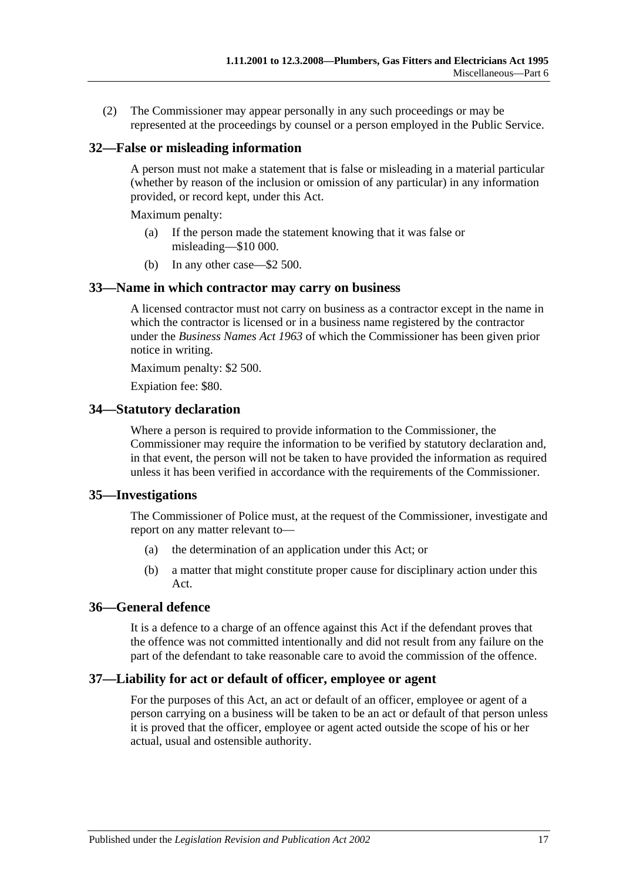(2) The Commissioner may appear personally in any such proceedings or may be represented at the proceedings by counsel or a person employed in the Public Service.

### <span id="page-16-0"></span>**32—False or misleading information**

A person must not make a statement that is false or misleading in a material particular (whether by reason of the inclusion or omission of any particular) in any information provided, or record kept, under this Act.

Maximum penalty:

- (a) If the person made the statement knowing that it was false or misleading—\$10 000.
- (b) In any other case—\$2 500.

#### <span id="page-16-1"></span>**33—Name in which contractor may carry on business**

A licensed contractor must not carry on business as a contractor except in the name in which the contractor is licensed or in a business name registered by the contractor under the *[Business Names Act](http://www.legislation.sa.gov.au/index.aspx?action=legref&type=act&legtitle=Business%20Names%20Act%201963) 1963* of which the Commissioner has been given prior notice in writing.

Maximum penalty: \$2 500.

Expiation fee: \$80.

### <span id="page-16-2"></span>**34—Statutory declaration**

Where a person is required to provide information to the Commissioner, the Commissioner may require the information to be verified by statutory declaration and, in that event, the person will not be taken to have provided the information as required unless it has been verified in accordance with the requirements of the Commissioner.

#### <span id="page-16-3"></span>**35—Investigations**

The Commissioner of Police must, at the request of the Commissioner, investigate and report on any matter relevant to—

- (a) the determination of an application under this Act; or
- (b) a matter that might constitute proper cause for disciplinary action under this Act.

### <span id="page-16-4"></span>**36—General defence**

It is a defence to a charge of an offence against this Act if the defendant proves that the offence was not committed intentionally and did not result from any failure on the part of the defendant to take reasonable care to avoid the commission of the offence.

### <span id="page-16-5"></span>**37—Liability for act or default of officer, employee or agent**

For the purposes of this Act, an act or default of an officer, employee or agent of a person carrying on a business will be taken to be an act or default of that person unless it is proved that the officer, employee or agent acted outside the scope of his or her actual, usual and ostensible authority.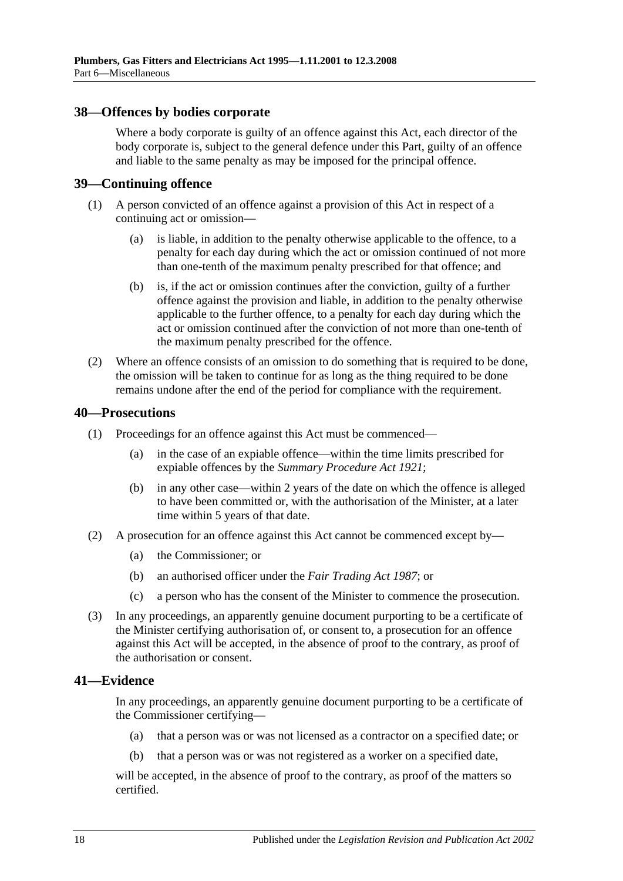### <span id="page-17-0"></span>**38—Offences by bodies corporate**

Where a body corporate is guilty of an offence against this Act, each director of the body corporate is, subject to the general defence under this Part, guilty of an offence and liable to the same penalty as may be imposed for the principal offence.

#### <span id="page-17-1"></span>**39—Continuing offence**

- (1) A person convicted of an offence against a provision of this Act in respect of a continuing act or omission—
	- (a) is liable, in addition to the penalty otherwise applicable to the offence, to a penalty for each day during which the act or omission continued of not more than one-tenth of the maximum penalty prescribed for that offence; and
	- (b) is, if the act or omission continues after the conviction, guilty of a further offence against the provision and liable, in addition to the penalty otherwise applicable to the further offence, to a penalty for each day during which the act or omission continued after the conviction of not more than one-tenth of the maximum penalty prescribed for the offence.
- (2) Where an offence consists of an omission to do something that is required to be done, the omission will be taken to continue for as long as the thing required to be done remains undone after the end of the period for compliance with the requirement.

#### <span id="page-17-2"></span>**40—Prosecutions**

- (1) Proceedings for an offence against this Act must be commenced—
	- (a) in the case of an expiable offence—within the time limits prescribed for expiable offences by the *[Summary Procedure Act](http://www.legislation.sa.gov.au/index.aspx?action=legref&type=act&legtitle=Summary%20Procedure%20Act%201921) 1921*;
	- (b) in any other case—within 2 years of the date on which the offence is alleged to have been committed or, with the authorisation of the Minister, at a later time within 5 years of that date.
- (2) A prosecution for an offence against this Act cannot be commenced except by—
	- (a) the Commissioner; or
	- (b) an authorised officer under the *[Fair Trading Act](http://www.legislation.sa.gov.au/index.aspx?action=legref&type=act&legtitle=Fair%20Trading%20Act%201987) 1987*; or
	- (c) a person who has the consent of the Minister to commence the prosecution.
- (3) In any proceedings, an apparently genuine document purporting to be a certificate of the Minister certifying authorisation of, or consent to, a prosecution for an offence against this Act will be accepted, in the absence of proof to the contrary, as proof of the authorisation or consent.

#### <span id="page-17-3"></span>**41—Evidence**

In any proceedings, an apparently genuine document purporting to be a certificate of the Commissioner certifying—

- (a) that a person was or was not licensed as a contractor on a specified date; or
- (b) that a person was or was not registered as a worker on a specified date,

will be accepted, in the absence of proof to the contrary, as proof of the matters so certified.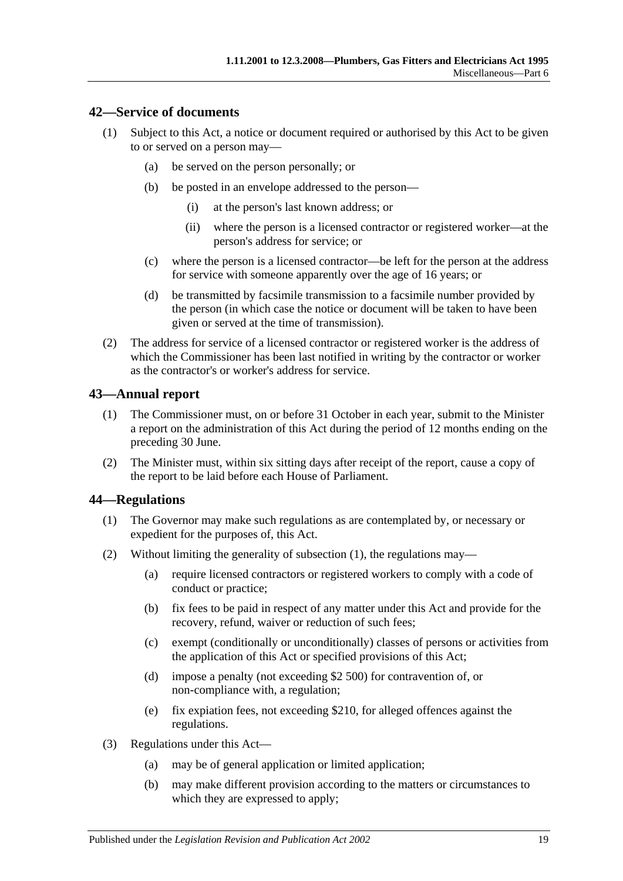### <span id="page-18-0"></span>**42—Service of documents**

- (1) Subject to this Act, a notice or document required or authorised by this Act to be given to or served on a person may—
	- (a) be served on the person personally; or
	- (b) be posted in an envelope addressed to the person—
		- (i) at the person's last known address; or
		- (ii) where the person is a licensed contractor or registered worker—at the person's address for service; or
	- (c) where the person is a licensed contractor—be left for the person at the address for service with someone apparently over the age of 16 years; or
	- (d) be transmitted by facsimile transmission to a facsimile number provided by the person (in which case the notice or document will be taken to have been given or served at the time of transmission).
- (2) The address for service of a licensed contractor or registered worker is the address of which the Commissioner has been last notified in writing by the contractor or worker as the contractor's or worker's address for service.

### <span id="page-18-1"></span>**43—Annual report**

- (1) The Commissioner must, on or before 31 October in each year, submit to the Minister a report on the administration of this Act during the period of 12 months ending on the preceding 30 June.
- (2) The Minister must, within six sitting days after receipt of the report, cause a copy of the report to be laid before each House of Parliament.

### <span id="page-18-3"></span><span id="page-18-2"></span>**44—Regulations**

- (1) The Governor may make such regulations as are contemplated by, or necessary or expedient for the purposes of, this Act.
- (2) Without limiting the generality of [subsection](#page-18-3) (1), the regulations may—
	- (a) require licensed contractors or registered workers to comply with a code of conduct or practice;
	- (b) fix fees to be paid in respect of any matter under this Act and provide for the recovery, refund, waiver or reduction of such fees;
	- (c) exempt (conditionally or unconditionally) classes of persons or activities from the application of this Act or specified provisions of this Act;
	- (d) impose a penalty (not exceeding \$2 500) for contravention of, or non-compliance with, a regulation;
	- (e) fix expiation fees, not exceeding \$210, for alleged offences against the regulations.
- (3) Regulations under this Act—
	- (a) may be of general application or limited application;
	- (b) may make different provision according to the matters or circumstances to which they are expressed to apply;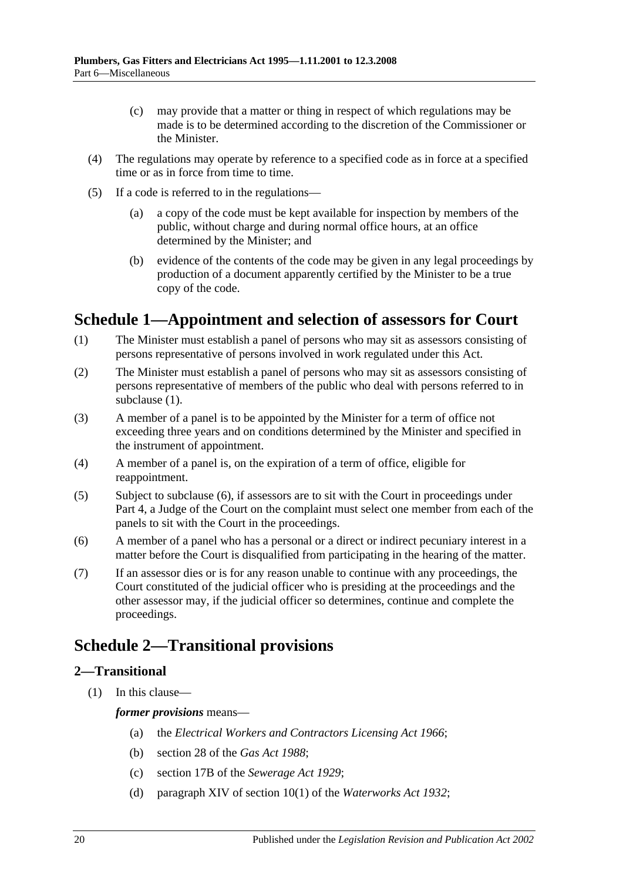- (c) may provide that a matter or thing in respect of which regulations may be made is to be determined according to the discretion of the Commissioner or the Minister.
- (4) The regulations may operate by reference to a specified code as in force at a specified time or as in force from time to time.
- (5) If a code is referred to in the regulations—
	- (a) a copy of the code must be kept available for inspection by members of the public, without charge and during normal office hours, at an office determined by the Minister; and
	- (b) evidence of the contents of the code may be given in any legal proceedings by production of a document apparently certified by the Minister to be a true copy of the code.

# <span id="page-19-0"></span>**Schedule 1—Appointment and selection of assessors for Court**

- <span id="page-19-3"></span>(1) The Minister must establish a panel of persons who may sit as assessors consisting of persons representative of persons involved in work regulated under this Act.
- (2) The Minister must establish a panel of persons who may sit as assessors consisting of persons representative of members of the public who deal with persons referred to in [subclause](#page-19-3) (1).
- (3) A member of a panel is to be appointed by the Minister for a term of office not exceeding three years and on conditions determined by the Minister and specified in the instrument of appointment.
- (4) A member of a panel is, on the expiration of a term of office, eligible for reappointment.
- (5) Subject to [subclause](#page-19-4) (6), if assessors are to sit with the Court in proceedings under [Part](#page-11-0) 4, a Judge of the Court on the complaint must select one member from each of the panels to sit with the Court in the proceedings.
- <span id="page-19-4"></span>(6) A member of a panel who has a personal or a direct or indirect pecuniary interest in a matter before the Court is disqualified from participating in the hearing of the matter.
- (7) If an assessor dies or is for any reason unable to continue with any proceedings, the Court constituted of the judicial officer who is presiding at the proceedings and the other assessor may, if the judicial officer so determines, continue and complete the proceedings.

# <span id="page-19-1"></span>**Schedule 2—Transitional provisions**

# <span id="page-19-2"></span>**2—Transitional**

(1) In this clause—

*former provisions* means—

- (a) the *[Electrical Workers and Contractors Licensing Act](http://www.legislation.sa.gov.au/index.aspx?action=legref&type=act&legtitle=Electrical%20Workers%20and%20Contractors%20Licensing%20Act%201966) 1966*;
- (b) section 28 of the *[Gas Act](http://www.legislation.sa.gov.au/index.aspx?action=legref&type=act&legtitle=Gas%20Act%201988) 1988*;
- (c) section 17B of the *[Sewerage Act](http://www.legislation.sa.gov.au/index.aspx?action=legref&type=act&legtitle=Sewerage%20Act%201929) 1929*;
- (d) paragraph XIV of section 10(1) of the *[Waterworks Act](http://www.legislation.sa.gov.au/index.aspx?action=legref&type=act&legtitle=Waterworks%20Act%201932) 1932*;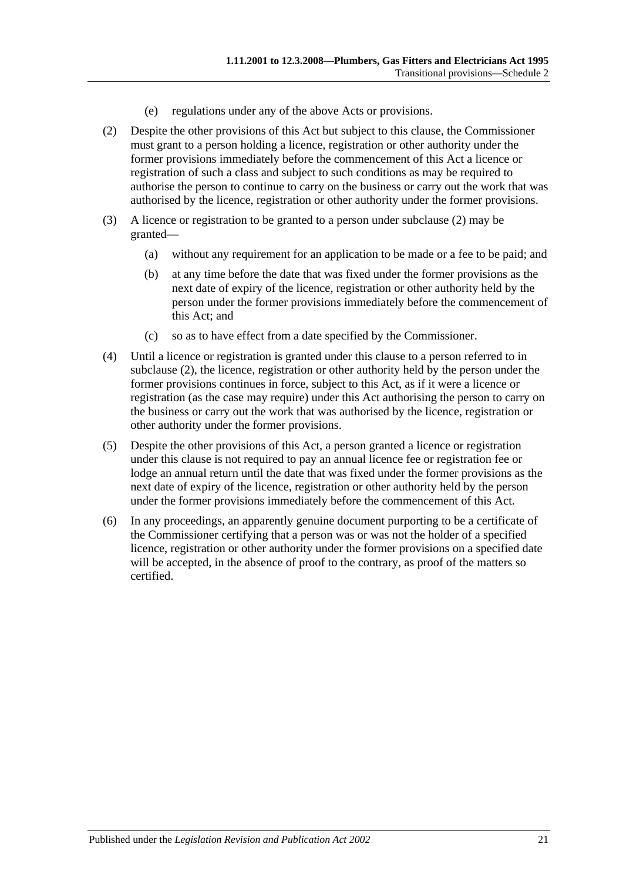- (e) regulations under any of the above Acts or provisions.
- <span id="page-20-0"></span>(2) Despite the other provisions of this Act but subject to this clause, the Commissioner must grant to a person holding a licence, registration or other authority under the former provisions immediately before the commencement of this Act a licence or registration of such a class and subject to such conditions as may be required to authorise the person to continue to carry on the business or carry out the work that was authorised by the licence, registration or other authority under the former provisions.
- (3) A licence or registration to be granted to a person under [subclause](#page-20-0) (2) may be granted—
	- (a) without any requirement for an application to be made or a fee to be paid; and
	- (b) at any time before the date that was fixed under the former provisions as the next date of expiry of the licence, registration or other authority held by the person under the former provisions immediately before the commencement of this Act; and
	- (c) so as to have effect from a date specified by the Commissioner.
- (4) Until a licence or registration is granted under this clause to a person referred to in [subclause](#page-20-0) (2), the licence, registration or other authority held by the person under the former provisions continues in force, subject to this Act, as if it were a licence or registration (as the case may require) under this Act authorising the person to carry on the business or carry out the work that was authorised by the licence, registration or other authority under the former provisions.
- (5) Despite the other provisions of this Act, a person granted a licence or registration under this clause is not required to pay an annual licence fee or registration fee or lodge an annual return until the date that was fixed under the former provisions as the next date of expiry of the licence, registration or other authority held by the person under the former provisions immediately before the commencement of this Act.
- (6) In any proceedings, an apparently genuine document purporting to be a certificate of the Commissioner certifying that a person was or was not the holder of a specified licence, registration or other authority under the former provisions on a specified date will be accepted, in the absence of proof to the contrary, as proof of the matters so certified.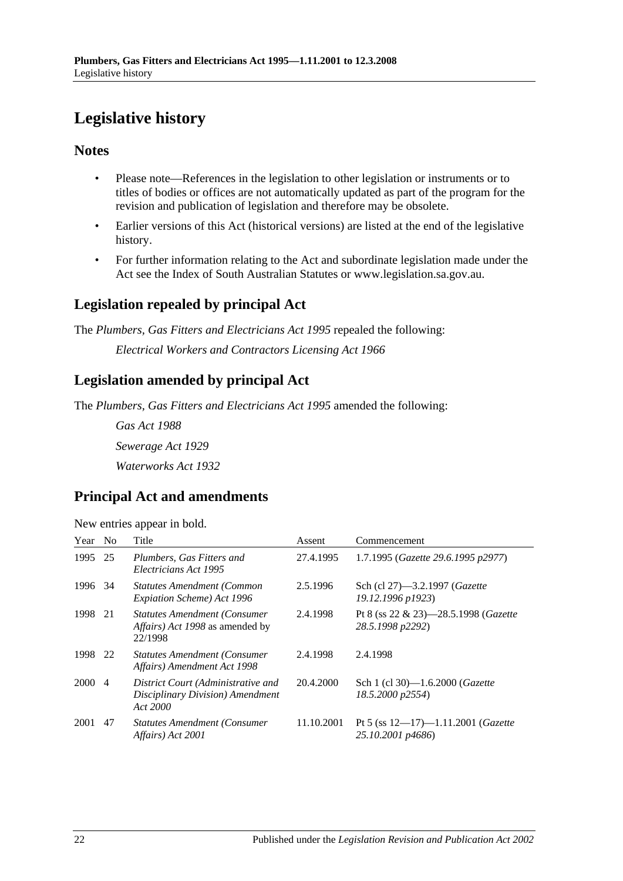# <span id="page-21-0"></span>**Legislative history**

# **Notes**

- Please note—References in the legislation to other legislation or instruments or to titles of bodies or offices are not automatically updated as part of the program for the revision and publication of legislation and therefore may be obsolete.
- Earlier versions of this Act (historical versions) are listed at the end of the legislative history.
- For further information relating to the Act and subordinate legislation made under the Act see the Index of South Australian Statutes or www.legislation.sa.gov.au.

# **Legislation repealed by principal Act**

The *Plumbers, Gas Fitters and Electricians Act 1995* repealed the following: *Electrical Workers and Contractors Licensing Act 1966*

# **Legislation amended by principal Act**

The *Plumbers, Gas Fitters and Electricians Act 1995* amended the following:

*Gas Act 1988 Sewerage Act 1929 Waterworks Act 1932*

# **Principal Act and amendments**

New entries appear in bold.

| Year    | N <sub>0</sub> | Title                                                                              | Assent     | Commencement                                                       |
|---------|----------------|------------------------------------------------------------------------------------|------------|--------------------------------------------------------------------|
| 1995    | 25             | Plumbers, Gas Fitters and<br>Electricians Act 1995                                 | 27.4.1995  | 1.7.1995 (Gazette 29.6.1995 p2977)                                 |
| 1996 34 |                | <b>Statutes Amendment (Common</b><br>Expiation Scheme) Act 1996                    | 2.5.1996   | Sch (cl 27)-3.2.1997 ( <i>Gazette</i><br>19.12.1996 p1923)         |
| 1998    | 21             | <b>Statutes Amendment (Consumer)</b><br>Affairs) Act 1998 as amended by<br>22/1998 | 2.4.1998   | Pt 8 (ss 22 & 23)-28.5.1998 (Gazette<br>28.5.1998 p2292)           |
| 1998    | 22             | <b>Statutes Amendment (Consumer)</b><br>Affairs) Amendment Act 1998                | 2.4.1998   | 2.4.1998                                                           |
| 2000    | 4              | District Court (Administrative and<br>Disciplinary Division) Amendment<br>Act 2000 | 20.4.2000  | Sch 1 (cl 30)-1.6.2000 ( <i>Gazette</i><br>18.5.2000 p2554)        |
| 2001    | 47             | <b>Statutes Amendment (Consumer</b><br>Affairs) Act 2001                           | 11.10.2001 | Pt 5 (ss $12-17$ )-1.11.2001 ( <i>Gazette</i><br>25.10.2001 p4686) |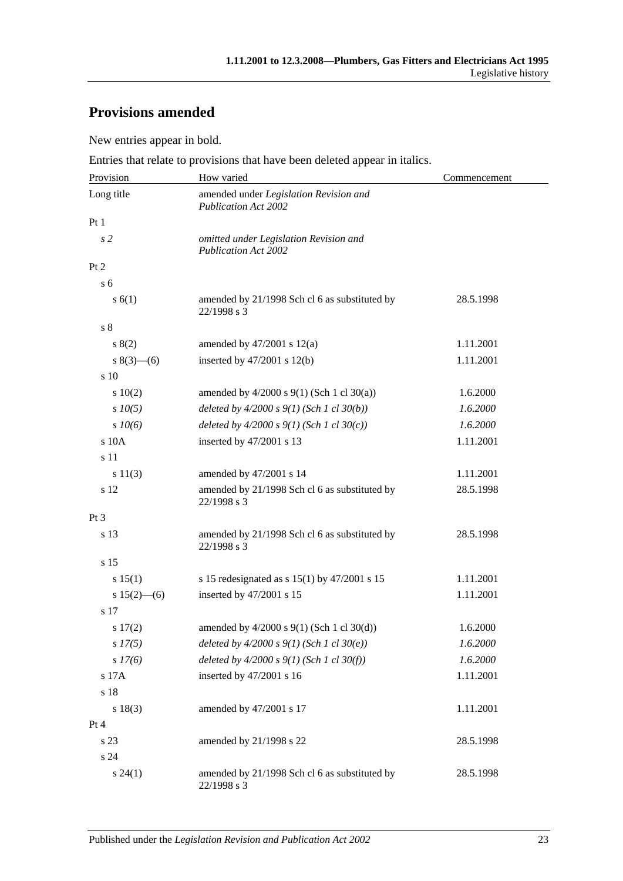# **Provisions amended**

New entries appear in bold.

Entries that relate to provisions that have been deleted appear in italics.

| Provision       | How varied                                                            | Commencement |
|-----------------|-----------------------------------------------------------------------|--------------|
| Long title      | amended under Legislation Revision and<br><b>Publication Act 2002</b> |              |
| Pt 1            |                                                                       |              |
| s <sub>2</sub>  | omitted under Legislation Revision and<br><b>Publication Act 2002</b> |              |
| Pt 2            |                                                                       |              |
| s <sub>6</sub>  |                                                                       |              |
| s(6(1))         | amended by 21/1998 Sch cl 6 as substituted by<br>22/1998 s 3          | 28.5.1998    |
| s <sub>8</sub>  |                                                                       |              |
| s(2)            | amended by $47/2001$ s $12(a)$                                        | 1.11.2001    |
| $8(3)$ – (6)    | inserted by $47/2001$ s $12(b)$                                       | 1.11.2001    |
| s 10            |                                                                       |              |
| 10(2)           | amended by $4/2000$ s $9(1)$ (Sch 1 cl 30(a))                         | 1.6.2000     |
| $s$ 10(5)       | deleted by $4/2000 s 9(1)$ (Sch 1 cl 30(b))                           | 1.6.2000     |
| $s \, 10(6)$    | deleted by $4/2000 s 9(1)$ (Sch 1 cl 30(c))                           | 1.6.2000     |
| s 10A           | inserted by 47/2001 s 13                                              | 1.11.2001    |
| s 11            |                                                                       |              |
| s 11(3)         | amended by 47/2001 s 14                                               | 1.11.2001    |
| s 12            | amended by 21/1998 Sch cl 6 as substituted by<br>22/1998 s 3          | 28.5.1998    |
| Pt <sub>3</sub> |                                                                       |              |
| s 13            | amended by 21/1998 Sch cl 6 as substituted by<br>22/1998 s 3          | 28.5.1998    |
| s 15            |                                                                       |              |
| s 15(1)         | s 15 redesignated as s $15(1)$ by $47/2001$ s 15                      | 1.11.2001    |
| s $15(2)$ - (6) | inserted by 47/2001 s 15                                              | 1.11.2001    |
| s 17            |                                                                       |              |
| s 17(2)         | amended by $4/2000$ s $9(1)$ (Sch 1 cl $30(d)$ )                      | 1.6.2000     |
| s 17(5)         | deleted by $4/2000 s 9(1)$ (Sch 1 cl 30(e))                           | 1.6.2000     |
| s 17(6)         | deleted by $4/2000 s 9(1)$ (Sch 1 cl 30(f))                           | 1.6.2000     |
| s 17A           | inserted by 47/2001 s 16                                              | 1.11.2001    |
| s 18            |                                                                       |              |
| s 18(3)         | amended by 47/2001 s 17                                               | 1.11.2001    |
| Pt 4            |                                                                       |              |
| s 23            | amended by 21/1998 s 22                                               | 28.5.1998    |
| s 24            |                                                                       |              |
| $s\,24(1)$      | amended by 21/1998 Sch cl 6 as substituted by<br>22/1998 s 3          | 28.5.1998    |